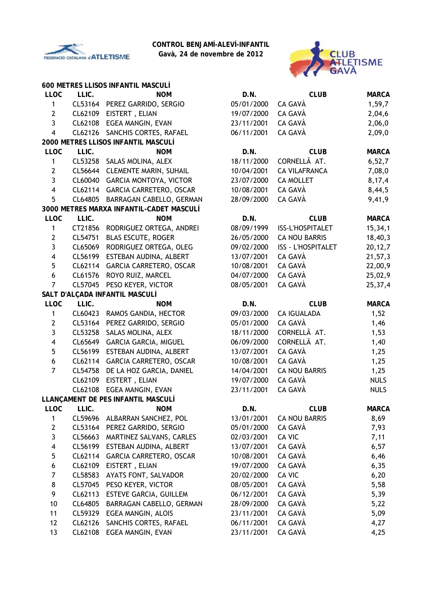

**Gavà, 24 de novembre de 2012**



|                         |         | 600 METRES LLISOS INFANTIL MASCULÍ       |            |                      |              |
|-------------------------|---------|------------------------------------------|------------|----------------------|--------------|
| <b>LLOC</b>             | LLIC.   | <b>NOM</b>                               | D.N.       | <b>CLUB</b>          | <b>MARCA</b> |
| 1                       |         | CL53164 PEREZ GARRIDO, SERGIO            | 05/01/2000 | CA GAVÀ              | 1,59,7       |
| $\mathbf{2}$            |         | CL62109 EISTERT, ELIAN                   | 19/07/2000 | CA GAVÀ              | 2,04,6       |
| $\overline{3}$          |         | CL62108 EGEA MANGIN, EVAN                | 23/11/2001 | CA GAVÀ              | 2,06,0       |
| $\overline{\mathbf{4}}$ | CL62126 | SANCHIS CORTES, RAFAEL                   | 06/11/2001 | CA GAVÀ              | 2,09,0       |
|                         |         | 2000 METRES LLISOS INFANTIL MASCULÍ      |            |                      |              |
| <b>LLOC</b>             | LLIC.   | <b>NOM</b>                               | D.N.       | <b>CLUB</b>          | <b>MARCA</b> |
| 1                       |         | CL53258 SALAS MOLINA, ALEX               | 18/11/2000 | CORNELLÃ AT.         | 6,52,7       |
| $\mathbf{2}$            | CL56644 | <b>CLEMENTE MARIN, SUHAIL</b>            | 10/04/2001 | <b>CA VILAFRANCA</b> | 7,08,0       |
| $\mathbf{3}$            |         | CL60040 GARCIA MONTOYA, VICTOR           | 23/07/2000 | <b>CA MOLLET</b>     | 8,17,4       |
| $\overline{\mathbf{4}}$ |         | CL62114 GARCIA CARRETERO, OSCAR          | 10/08/2001 | CA GAVÀ              | 8,44,5       |
| 5                       |         | CL64805 BARRAGAN CABELLO, GERMAN         | 28/09/2000 | CA GAVÀ              | 9,41,9       |
|                         |         | 3000 METRES MARXA INFANTIL-CADET MASCULÍ |            |                      |              |
| <b>LLOC</b>             | LLIC.   | <b>NOM</b>                               | D.N.       | <b>CLUB</b>          | <b>MARCA</b> |
| 1                       |         | CT21856 RODRIGUEZ ORTEGA, ANDREI         | 08/09/1999 | ISS-L'HOSPITALET     | 15, 34, 1    |
| $\overline{2}$          | CL54751 | <b>BLAS ESCUTE, ROGER</b>                | 26/05/2000 | <b>CA NOU BARRIS</b> | 18,40,3      |
| $\overline{3}$          | CL65069 | RODRIGUEZ ORTEGA, OLEG                   | 09/02/2000 | ISS - L'HOSPITALET   | 20, 12, 7    |
| $\overline{\mathbf{4}}$ | CL56199 | ESTEBAN AUDINA, ALBERT                   | 13/07/2001 | CA GAVÀ              | 21,57,3      |
| 5                       |         | CL62114 GARCIA CARRETERO, OSCAR          | 10/08/2001 | CA GAVÀ              | 22,00,9      |
| $\boldsymbol{6}$        | CL61576 | ROYO RUIZ, MARCEL                        | 04/07/2000 | CA GAVÀ              | 25,02,9      |
| $\overline{7}$          | CL57045 | PESO KEYER, VICTOR                       | 08/05/2001 | CA GAVÀ              | 25,37,4      |
|                         |         | SALT D'ALÇADA INFANTIL MASCULÍ           |            |                      |              |
| <b>LLOC</b>             | LLIC.   | <b>NOM</b>                               | D.N.       | <b>CLUB</b>          | <b>MARCA</b> |
| $\mathbf{1}$            |         | CL60423 RAMOS GANDIA, HECTOR             | 09/03/2000 | <b>CA IGUALADA</b>   | 1,52         |
| $\mathbf{2}$            | CL53164 | PEREZ GARRIDO, SERGIO                    | 05/01/2000 | CA GAVÀ              | 1,46         |
| 3                       | CL53258 | SALAS MOLINA, ALEX                       | 18/11/2000 | CORNELLÃ AT.         | 1,53         |
| 4                       | CL65649 | <b>GARCIA GARCIA, MIGUEL</b>             | 06/09/2000 | CORNELLÃ AT.         | 1,40         |
| 5                       |         | CL56199 ESTEBAN AUDINA, ALBERT           | 13/07/2001 | CA GAVÀ              | 1,25         |
| $\boldsymbol{6}$        |         | CL62114 GARCIA CARRETERO, OSCAR          | 10/08/2001 | CA GAVÀ              | 1,25         |
| $\overline{7}$          | CL54758 | DE LA HOZ GARCIA, DANIEL                 | 14/04/2001 | <b>CA NOU BARRIS</b> | 1,25         |
|                         | CL62109 | EISTERT, ELIAN                           | 19/07/2000 | CA GAVÀ              | <b>NULS</b>  |
|                         |         | CL62108 EGEA MANGIN, EVAN                | 23/11/2001 | CA GAVÀ              | <b>NULS</b>  |
|                         |         | LLANÇAMENT DE PES INFANTIL MASCULÍ       |            |                      |              |
| <b>LLOC</b>             | LLIC.   | <b>NOM</b>                               | D.N.       | <b>CLUB</b>          | <b>MARCA</b> |
| 1                       | CL59696 | ALBARRAN SANCHEZ, POL                    | 13/01/2001 | <b>CA NOU BARRIS</b> | 8,69         |
| $\mathbf{2}$            | CL53164 | PEREZ GARRIDO, SERGIO                    | 05/01/2000 | CA GAVÀ              | 7,93         |
| 3                       | CL56663 | MARTINEZ SALVANS, CARLES                 | 02/03/2001 | <b>CA VIC</b>        | 7,11         |
| $\overline{\mathbf{4}}$ | CL56199 | ESTEBAN AUDINA, ALBERT                   | 13/07/2001 | CA GAVÀ              | 6,57         |
| 5                       | CL62114 | GARCIA CARRETERO, OSCAR                  | 10/08/2001 | CA GAVÀ              | 6,46         |
| 6                       | CL62109 | EISTERT, ELIAN                           | 19/07/2000 | CA GAVÀ              | 6,35         |
| 7                       | CL58583 | AYATS FONT, SALVADOR                     | 20/02/2000 | <b>CA VIC</b>        | 6,20         |
| 8                       | CL57045 | PESO KEYER, VICTOR                       | 08/05/2001 | CA GAVÀ              | 5,58         |
| 9                       | CL62113 | <b>ESTEVE GARCIA, GUILLEM</b>            | 06/12/2001 | CA GAVÀ              | 5,39         |
| 10                      | CL64805 | BARRAGAN CABELLO, GERMAN                 | 28/09/2000 | CA GAVÀ              | 5,22         |
| 11                      | CL59329 | EGEA MANGIN, ALOIS                       | 23/11/2001 | CA GAVÀ              | 5,09         |
| 12                      | CL62126 | SANCHIS CORTES, RAFAEL                   | 06/11/2001 | CA GAVÀ              | 4,27         |
| 13                      | CL62108 | EGEA MANGIN, EVAN                        | 23/11/2001 | CA GAVÀ              | 4,25         |
|                         |         |                                          |            |                      |              |

| D.N.                     | <b>CLUB</b>               | <b>MARCA</b> |
|--------------------------|---------------------------|--------------|
| 05/01/2000               | CA GAVÀ                   | 1,59,7       |
| 19/07/2000               | CA GAVÀ                   | 2,04,6       |
| 23/11/2001               | CA GAVÀ                   | 2,06,0       |
| 06/11/2001               | CA GAVÀ                   | 2,09,0       |
| D.N.                     | <b>CLUB</b>               | <b>MARCA</b> |
| 18/11/2000               | CORNELLÃ AT.              | 6, 52, 7     |
| 10/04/2001               | <b>CA VILAFRANCA</b>      | 7,08,0       |
| 23/07/2000               | <b>CA MOLLET</b>          | 8,17,4       |
| 10/08/2001               | CA GAVÀ                   | 8,44,5       |
| 28/09/2000               | CA GAVÀ                   | 9,41,9       |
| D.N.                     | <b>CLUB</b>               | <b>MARCA</b> |
| 08/09/1999               | ISS-L'HOSPITALET          | 15, 34, 1    |
| 26/05/2000               | <b>CA NOU BARRIS</b>      | 18,40,3      |
| 09/02/2000               | <b>ISS - L'HOSPITALET</b> | 20, 12, 7    |
| 13/07/2001               | CA GAVÀ                   | 21,57,3      |
| 10/08/2001               | CA GAVÀ                   | 22,00,9      |
| 04/07/2000               | CA GAVÀ                   | 25,02,9      |
| 08/05/2001               | CA GAVÀ                   | 25,37,4      |
| D.N.                     | <b>CLUB</b>               | <b>MARCA</b> |
| 09/03/2000               | <b>CA IGUALADA</b>        | 1,52         |
| 05/01/2000               | CA GAVÀ                   | 1,46         |
| 18/11/2000               | CORNELLÃ AT.              | 1,53         |
| 06/09/2000               | CORNELLÃ AT.              | 1,40         |
| 13/07/2001               | CA GAVÀ                   | 1,25         |
| 10/08/2001               | CA GAVÀ                   | 1,25         |
| 14/04/2001               | <b>CA NOU BARRIS</b>      | 1,25         |
| 19/07/2000               | CA GAVÀ                   | <b>NULS</b>  |
| 23/11/2001               | CA GAVÀ                   | <b>NULS</b>  |
| D.N.                     | <b>CLUB</b>               | <b>MARCA</b> |
| 13/01/2001               | <b>CA NOU BARRIS</b>      | 8,69         |
| 05/01/2000               | CA GAVÀ                   | 7,93         |
| 02/03/2001               | CA VIC<br>CA GAVÀ         | 7,11         |
| 13/07/2001<br>10/08/2001 | CA GAVÀ                   | 6,57         |
| 19/07/2000               | CA GAVÀ                   | 6,46<br>6,35 |
| 20/02/2000               | CA VIC                    | 6, 20        |
| 08/05/2001               | CA GAVÀ                   | 5,58         |
| 06/12/2001               | CA GAVÀ                   | 5,39         |
| 28/09/2000               | CA GAVÀ                   | 5,22         |
| 23/11/2001               | CA GAVÀ                   | 5,09         |
| 06/11/2001               | CA GAVÀ                   | 4,27         |
| 23/11/2001               | CA GAVÀ                   | 4.25         |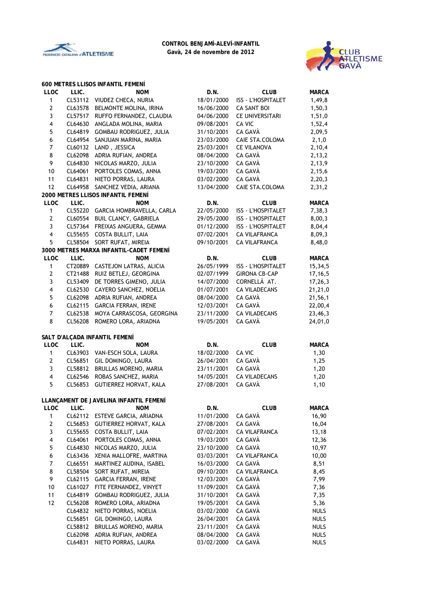



|                         |         | <b>600 METRES LLISOS INFANTIL FEMENÍ</b> |            |                        |              |
|-------------------------|---------|------------------------------------------|------------|------------------------|--------------|
| <b>LLOC</b>             | LLIC.   | <b>NOM</b>                               | D.N.       | <b>CLUB</b>            | <b>MARCA</b> |
| 1                       |         | CL53112 VIUDEZ CHECA, NURIA              | 18/01/2000 | ISS - L'HOSPITALET     | 1,49,8       |
| $\mathbf{2}$            | CL63578 | BELMONTE MOLINA, IRINA                   | 16/06/2000 | <b>CA SANT BOI</b>     | 1, 50, 3     |
| 3                       | CL57517 | RUFFO FERNANDEZ, CLAUDIA                 | 04/06/2000 | <b>CE UNIVERSITARI</b> | 1,51,0       |
| $\overline{\mathbf{4}}$ | CL64630 | ANGLADA MOLINA, MARIA                    | 09/08/2001 | CA VIC                 | 1,52,4       |
| 5                       | CL64819 | GOMBAU RODRIGUEZ, JULIA                  | 31/10/2001 | CA GAVÀ                | 2,09,5       |
| 6                       | CL64954 | SANJUAN MARINA, MARIA                    | 23/03/2000 | CAIE STA.COLOMA        | 2,1,0        |
| $\overline{7}$          | CL60132 | LAND, JESSICA                            | 25/03/2001 | <b>CE VILANOVA</b>     | 2,10,4       |
| 8                       | CL62098 | ADRIA RUFIAN, ANDREA                     | 08/04/2000 | CA GAVÀ                | 2, 13, 2     |
| 9                       | CL64830 | NICOLAS MARZO, JULIA                     | 23/10/2000 | CA GAVÀ                | 2,13,9       |
| $10\,$                  | CL64061 | PORTOLES COMAS, ANNA                     | 19/03/2001 | CA GAVÀ                | 2,15,6       |
| 11                      | CL64831 | NIETO PORRAS, LAURA                      | 03/02/2000 | CA GAVÀ                | 2,20,3       |
| 12                      | CL64958 | SANCHEZ VEDIA, ARIANA                    | 13/04/2000 | CAIE STA.COLOMA        | 2,31,2       |
|                         |         | 2000 METRES LLISOS INFANTIL FEMENÍ       |            |                        |              |
| <b>LLOC</b>             | LLIC.   | <b>NOM</b>                               | D.N.       | <b>CLUB</b>            | <b>MARCA</b> |
| 1                       |         | CL55220 GARCIA HOMBRAVELLA, CARLA        | 22/05/2000 | ISS - L'HOSPITALET     | 7,38,3       |
| $\mathbf{2}$            | CL60554 | BUIL CLANCY, GABRIELA                    | 29/05/2000 | ISS - L'HOSPITALET     | 8,00,3       |
| 3                       | CL57364 | FREIXAS ANGUERA, GEMMA                   | 01/12/2000 | ISS - L'HOSPITALET     | 8,04,4       |
| $\overline{\mathbf{4}}$ |         | CL55655 COSTA BULLIT, LAIA               | 07/02/2001 | <b>CA VILAFRANCA</b>   | 8,09,3       |
| 5                       | CL58504 | SORT RUFAT, MIREIA                       | 09/10/2001 | <b>CA VILAFRANCA</b>   | 8,48,0       |
|                         |         | 3000 METRES MARXA INFANTIL-CADET FEMENÍ  |            |                        |              |
| <b>LLOC</b>             | LLIC.   | <b>NOM</b>                               | D.N.       | <b>CLUB</b>            | <b>MARCA</b> |
| 1                       | CT20889 | CASTEJON LATRAS, ALICIA                  | 26/05/1999 | ISS - L'HOSPITALET     | 15,34,5      |
| $\mathbf{2}$            | CT21488 | RUIZ BETLEJ, GEORGINA                    | 02/07/1999 | <b>GIRONA CB-CAP</b>   | 17, 16, 5    |
| 3                       | CL53409 | DE TORRES GIMENO, JULIA                  | 14/07/2000 | CORNELLÃ AT.           | 17, 26, 3    |
| $\overline{\mathbf{4}}$ | CL62530 | CAYERO SANCHEZ, NOELIA                   | 01/07/2001 | <b>CA VILADECANS</b>   | 21,21,0      |
| 5                       |         | ADRIA RUFIAN, ANDREA                     | 08/04/2000 | CA GAVÀ                |              |
|                         | CL62098 |                                          | 12/03/2001 |                        | 21,56,1      |
| $\boldsymbol{6}$        | CL62115 | <b>GARCIA FERRAN, IRENE</b>              |            | CA GAVÀ                | 22,00,4      |
| $\overline{7}$          | CL62538 | MOYA CARRASCOSA, GEORGINA                | 23/11/2000 | <b>CA VILADECANS</b>   | 23,46,3      |
| 8                       | CL56208 | ROMERO LORA, ARIADNA                     | 19/05/2001 | CA GAVÀ                | 24,01,0      |
|                         |         | SALT D'ALÇADA INFANTIL FEMENÍ            |            |                        |              |
| <b>LLOC</b>             | LLIC.   | <b>NOM</b>                               | D.N.       | <b>CLUB</b>            | <b>MARCA</b> |
| $\mathbf{1}$            |         | CL63903 VAN-ESCH SOLA, LAURA             | 18/02/2000 | CA VIC                 | 1,30         |
| $\mathbf{2}$            | CL56851 |                                          |            |                        |              |
|                         |         | GIL DOMINGO, LAURA                       | 26/04/2001 | CA GAVÀ<br>CA GAVÀ     | 1,25         |
| 3                       | CL58812 | BRULLAS MORENO, MARIA                    | 23/11/2001 |                        | 1,20         |
| $\overline{\mathbf{4}}$ | CL62546 | ROBAS SANCHEZ, MARIA                     | 14/05/2001 | <b>CA VILADECANS</b>   | 1,20         |
| 5                       | CL56853 | GUTIERREZ HORVAT, KALA                   | 27/08/2001 | CA GAVÀ                | 1,10         |
|                         |         | LLANÇAMENT DE JAVELINA INFANTIL FEMENÍ   |            |                        |              |
| LLOC                    | LLIC.   | <b>NOM</b>                               | D.N.       | <b>CLUB</b>            | <b>MARCA</b> |
| $\mathbf{1}$            | CL62112 | ESTEVE GARCIA, ARIADNA                   | 11/01/2000 | CA GAVÀ                | 16,90        |
| $\mathbf{2}$            | CL56853 | GUTIERREZ HORVAT, KALA                   | 27/08/2001 | CA GAVÀ                | 16,04        |
| 3                       | CL55655 | COSTA BULLIT, LAIA                       | 07/02/2001 | <b>CA VILAFRANCA</b>   | 13,18        |
| 4                       |         |                                          |            |                        |              |
|                         | CL64061 | PORTOLES COMAS, ANNA                     | 19/03/2001 | CA GAVÀ                | 12,36        |
| 5                       | CL64830 | NICOLAS MARZO, JULIA                     | 23/10/2000 | CA GAVÀ                | 10,97        |
| 6                       | CL63436 | XENIA MALLOFRE, MARTINA                  | 03/03/2001 | <b>CA VILAFRANCA</b>   | 10,00        |
| 7                       | CL66551 | MARTINEZ AUDINA, ISABEL                  | 16/03/2000 | CA GAVÀ                | 8,51         |
| 8                       | CL58504 | SORT RUFAT, MIREIA                       | 09/10/2001 | <b>CA VILAFRANCA</b>   | 8,45         |
| 9                       | CL62115 | GARCIA FERRAN, IRENE                     | 12/03/2001 | CA GAVÀ                | 7,99         |
| 10                      | CL61027 | FITE FERNANDEZ, VINYET                   | 11/09/2001 | CA GAVÀ                | 7,36         |
| 11                      | CL64819 | GOMBAU RODRIGUEZ, JULIA                  | 31/10/2001 | CA GAVÀ                | 7,35         |
| 12                      | CL56208 | ROMERO LORA, ARIADNA                     | 19/05/2001 | CA GAVÀ                | 5,36         |
|                         | CL64832 | NIETO PORRAS, NOELIA                     | 03/02/2000 | CA GAVÀ                | <b>NULS</b>  |
|                         | CL56851 | GIL DOMINGO, LAURA                       | 26/04/2001 | CA GAVÀ                | <b>NULS</b>  |
|                         | CL58812 | BRULLAS MORENO, MARIA                    | 23/11/2001 | CA GAVÀ                | <b>NULS</b>  |
|                         | CL62098 | ADRIA RUFIAN, ANDREA                     | 08/04/2000 | CA GAVÀ                | <b>NULS</b>  |

CL64831 NIETO PORRAS, LAURA 03/02/2000 CA GAVÀ NULS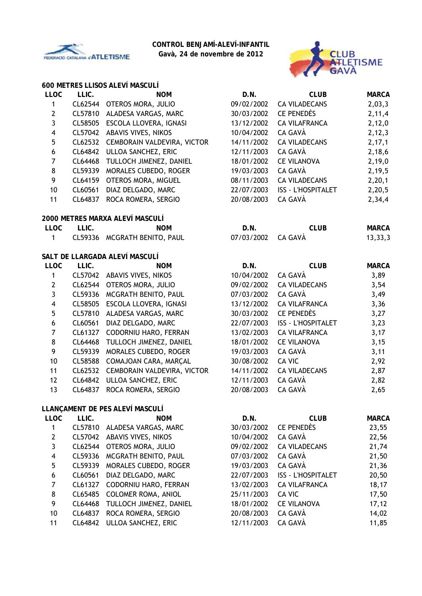

**Gavà, 24 de novembre de 2012**



# **600 METRES LLISOS ALEVÍ MASCULÍ**

| <b>LLOC</b>             | LLIC.   | <b>NOM</b>                      | D.N.       | <b>CLUB</b>               | <b>MARCA</b> |
|-------------------------|---------|---------------------------------|------------|---------------------------|--------------|
| $\mathbf{1}$            | CL62544 | OTEROS MORA, JULIO              | 09/02/2002 | <b>CA VILADECANS</b>      | 2,03,3       |
| $\mathbf 2$             | CL57810 | ALADESA VARGAS, MARC            | 30/03/2002 | <b>CE PENEDÈS</b>         | 2,11,4       |
| 3                       | CL58505 | ESCOLA LLOVERA, IGNASI          | 13/12/2002 | <b>CA VILAFRANCA</b>      | 2,12,0       |
| 4                       | CL57042 | ABAVIS VIVES, NIKOS             | 10/04/2002 | CA GAVÀ                   | 2, 12, 3     |
| 5                       | CL62532 | CEMBORAIN VALDEVIRA, VICTOR     | 14/11/2002 | <b>CA VILADECANS</b>      | 2, 17, 1     |
| $\boldsymbol{6}$        | CL64842 | ULLOA SANCHEZ, ERIC             | 12/11/2003 | CA GAVÀ                   | 2,18,6       |
| $\overline{7}$          | CL64468 | TULLOCH JIMENEZ, DANIEL         | 18/01/2002 | <b>CE VILANOVA</b>        | 2,19,0       |
| 8                       | CL59339 | MORALES CUBEDO, ROGER           | 19/03/2003 | CA GAVÀ                   | 2,19,5       |
| 9                       | CL64159 | OTEROS MORA, MIGUEL             | 08/11/2003 | <b>CA VILADECANS</b>      | 2,20,1       |
| 10                      | CL60561 | DIAZ DELGADO, MARC              | 22/07/2003 | <b>ISS - L'HOSPITALET</b> | 2,20,5       |
| 11                      | CL64837 | ROCA ROMERA, SERGIO             | 20/08/2003 | CA GAVÀ                   | 2,34,4       |
|                         |         | 2000 METRES MARXA ALEVÍ MASCULÍ |            |                           |              |
| <b>LLOC</b>             | LLIC.   | <b>NOM</b>                      | D.N.       | <b>CLUB</b>               | <b>MARCA</b> |
| 1                       |         | CL59336 MCGRATH BENITO, PAUL    | 07/03/2002 | CA GAVÀ                   | 13, 33, 3    |
|                         |         | SALT DE LLARGADA ALEVÍ MASCULÍ  |            |                           |              |
| <b>LLOC</b>             | LLIC.   | <b>NOM</b>                      | D.N.       | <b>CLUB</b>               | <b>MARCA</b> |
| $\mathbf{1}$            |         | CL57042 ABAVIS VIVES, NIKOS     | 10/04/2002 | CA GAVÀ                   | 3,89         |
| $\overline{2}$          | CL62544 | OTEROS MORA, JULIO              | 09/02/2002 | <b>CA VILADECANS</b>      | 3,54         |
| 3                       |         | CL59336 MCGRATH BENITO, PAUL    | 07/03/2002 | CA GAVÀ                   | 3,49         |
| $\overline{\mathbf{4}}$ | CL58505 | ESCOLA LLOVERA, IGNASI          | 13/12/2002 | <b>CA VILAFRANCA</b>      | 3,36         |
| 5                       | CL57810 | ALADESA VARGAS, MARC            | 30/03/2002 | CE PENEDÈS                | 3,27         |
| 6                       | CL60561 | DIAZ DELGADO, MARC              | 22/07/2003 | <b>ISS - L'HOSPITALET</b> | 3,23         |
| $\overline{7}$          | CL61327 | CODORNIU HARO, FERRAN           | 13/02/2003 | <b>CA VILAFRANCA</b>      | 3,17         |
| 8                       | CL64468 | TULLOCH JIMENEZ, DANIEL         | 18/01/2002 | <b>CE VILANOVA</b>        | 3,15         |
| 9                       | CL59339 | MORALES CUBEDO, ROGER           | 19/03/2003 | CA GAVÀ                   | 3,11         |
| 10                      | CL58588 | COMAJOAN CARA, MARÇAL           | 30/08/2002 | CA VIC                    | 2,92         |
| 11                      | CL62532 | CEMBORAIN VALDEVIRA, VICTOR     | 14/11/2002 | <b>CA VILADECANS</b>      | 2,87         |
| 12                      | CL64842 | ULLOA SANCHEZ, ERIC             | 12/11/2003 | CA GAVÀ                   | 2,82         |
| 13                      | CL64837 | ROCA ROMERA, SERGIO             | 20/08/2003 | CA GAVÀ                   | 2,65         |
|                         |         | LLANÇAMENT DE PES ALEVÍ MASCULÍ |            |                           |              |
| <b>LLOC</b>             | LLIC.   | <b>NOM</b>                      | D.N.       | <b>CLUB</b>               | <b>MARCA</b> |
| 1                       |         | CL57810 ALADESA VARGAS, MARC    | 30/03/2002 | CE PENEDÈS                | 23,55        |
| $\mathbf{2}$            | CL57042 | ABAVIS VIVES, NIKOS             | 10/04/2002 | CA GAVÀ                   | 22,56        |
| 3                       | CL62544 | OTEROS MORA, JULIO              | 09/02/2002 | <b>CA VILADECANS</b>      | 21,74        |
| 4                       | CL59336 | MCGRATH BENITO, PAUL            | 07/03/2002 | CA GAVÀ                   | 21,50        |
| 5                       | CL59339 | MORALES CUBEDO, ROGER           | 19/03/2003 | CA GAVÀ                   | 21,36        |
| 6                       | CL60561 | DIAZ DELGADO, MARC              | 22/07/2003 | <b>ISS - L'HOSPITALET</b> | 20,50        |
| $\overline{7}$          | CL61327 | CODORNIU HARO, FERRAN           | 13/02/2003 | <b>CA VILAFRANCA</b>      | 18,17        |
| 8                       | CL65485 | <b>COLOMER ROMA, ANIOL</b>      | 25/11/2003 | CA VIC                    | 17,50        |
| 9                       | CL64468 | TULLOCH JIMENEZ, DANIEL         | 18/01/2002 | <b>CE VILANOVA</b>        | 17, 12       |
| 10                      | CL64837 | ROCA ROMERA, SERGIO             | 20/08/2003 | CA GAVÀ                   | 14,02        |
| 11                      | CL64842 | ULLOA SANCHEZ, ERIC             | 12/11/2003 | CA GAVÀ                   | 11,85        |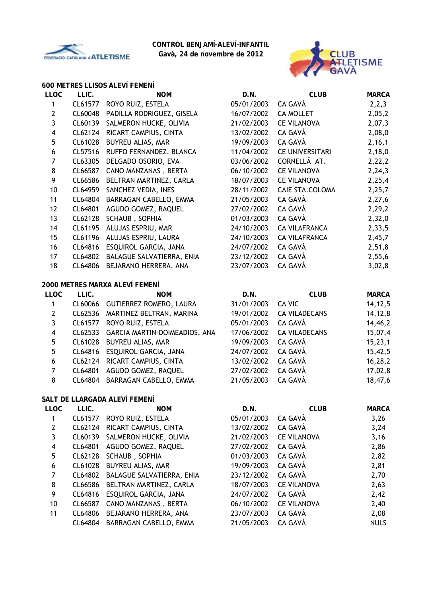

**Gavà, 24 de novembre de 2012**



### **600 METRES LLISOS ALEVÍ FEMENÍ**

| <b>LLOC</b>             | LLIC.   | <b>NOM</b>                       | D.N.       | <b>CLUB</b>            | <b>MARCA</b> |
|-------------------------|---------|----------------------------------|------------|------------------------|--------------|
| $\mathbf{1}$            | CL61577 | ROYO RUIZ, ESTELA                | 05/01/2003 | CA GAVÀ                | 2, 2, 3      |
| $\mathbf{2}$            | CL60048 | PADILLA RODRIGUEZ, GISELA        | 16/07/2002 | <b>CA MOLLET</b>       | 2,05,2       |
| $\overline{3}$          | CL60139 | SALMERON HUCKE, OLIVIA           | 21/02/2003 | <b>CE VILANOVA</b>     | 2,07,3       |
| $\overline{\mathbf{4}}$ | CL62124 | RICART CAMPIUS, CINTA            | 13/02/2002 | CA GAVÀ                | 2,08,0       |
| 5                       | CL61028 | BUYREU ALIAS, MAR                | 19/09/2003 | CA GAVÀ                | 2,16,1       |
| $\boldsymbol{6}$        | CL57516 | RUFFO FERNANDEZ, BLANCA          | 11/04/2002 | <b>CE UNIVERSITARI</b> | 2,18,0       |
| $\overline{7}$          | CL63305 | DELGADO OSORIO, EVA              | 03/06/2002 | CORNELLÃ AT.           | 2,22,2       |
| 8                       | CL66587 | CANO MANZANAS, BERTA             | 06/10/2002 | <b>CE VILANOVA</b>     | 2, 24, 3     |
| 9                       | CL66586 | BELTRAN MARTINEZ, CARLA          | 18/07/2003 | <b>CE VILANOVA</b>     | 2,25,4       |
| 10                      | CL64959 | SANCHEZ VEDIA, INES              | 28/11/2002 | CAIE STA.COLOMA        | 2,25,7       |
| 11                      | CL64804 | BARRAGAN CABELLO, EMMA           | 21/05/2003 | CA GAVÀ                | 2,27,6       |
| 12                      | CL64801 | AGUDO GOMEZ, RAQUEL              | 27/02/2002 | CA GAVÀ                | 2,29,2       |
| 13                      | CL62128 | SCHAUB, SOPHIA                   | 01/03/2003 | CA GAVÀ                | 2,32,0       |
| 14                      | CL61195 | ALUJAS ESPRIU, MAR               | 24/10/2003 | <b>CA VILAFRANCA</b>   | 2,33,5       |
| 15                      | CL61196 | ALUJAS ESPRIU, LAURA             | 24/10/2003 | <b>CA VILAFRANCA</b>   | 2,45,7       |
| 16                      | CL64816 | ESQUIROL GARCIA, JANA            | 24/07/2002 | CA GAVÀ                | 2,51,8       |
| 17                      | CL64802 | BALAGUE SALVATIERRA, ENIA        | 23/12/2002 | CA GAVÀ                | 2,55,6       |
| 18                      | CL64806 | BEJARANO HERRERA, ANA            | 23/07/2003 | CA GAVÀ                | 3,02,8       |
|                         |         | 2000 METRES MARXA ALEVÍ FEMENÍ   |            |                        |              |
| <b>LLOC</b>             | LLIC.   | <b>NOM</b>                       | D.N.       | <b>CLUB</b>            | <b>MARCA</b> |
| $\mathbf{1}$            |         | CL60066 GUTIERREZ ROMERO, LAURA  | 31/01/2003 | <b>CA VIC</b>          | 14, 12, 5    |
| $\mathbf{2}$            |         | CL62536 MARTINEZ BELTRAN, MARINA | 19/01/2002 | <b>CA VILADECANS</b>   | 14,12,8      |
| 3                       | CL61577 | ROYO RUIZ, ESTELA                | 05/01/2003 | CA GAVÀ                | 14,46,2      |
| $\overline{\mathbf{4}}$ | CL62533 | GARCIA MARTIN-DOIMEADIOS, ANA    | 17/06/2002 | <b>CA VILADECANS</b>   | 15,07,4      |
| 5                       | CL61028 | BUYREU ALIAS, MAR                | 19/09/2003 | CA GAVÀ                | 15, 23, 1    |
| 5                       | CL64816 | ESQUIROL GARCIA, JANA            | 24/07/2002 | CA GAVÀ                | 15,42,5      |
| $\boldsymbol{6}$        | CL62124 | RICART CAMPIUS, CINTA            | 13/02/2002 | CA GAVÀ                | 16,28,2      |
| $\overline{7}$          | CL64801 | AGUDO GOMEZ, RAQUEL              | 27/02/2002 | CA GAVÀ                | 17,02,8      |
| 8                       | CL64804 | BARRAGAN CABELLO, EMMA           | 21/05/2003 | CA GAVÀ                | 18,47,6      |
|                         |         | SALT DE LLARGADA ALEVÍ FEMENÍ    |            |                        |              |
| <b>LLOC</b>             | LLIC.   | <b>NOM</b>                       | D.N.       | <b>CLUB</b>            | <b>MARCA</b> |
| $\mathbf{1}$            |         | CL61577 ROYO RUIZ, ESTELA        | 05/01/2003 | CA GAVÀ                | 3,26         |
| $\overline{2}$          | CL62124 | RICART CAMPIUS, CINTA            | 13/02/2002 | CA GAVÀ                | 3,24         |
| $\mathbf{R}$            |         | CL60139 SALMERON HUCKE OLIVIA    | 21/02/2003 | <b>CE VII ANOVA</b>    | 3.16         |

| 3               |         | CL60139 SALMERON HUCKE, OLIVIA | 21/02/2003 | <b>CE VILANOVA</b> | 3,16        |
|-----------------|---------|--------------------------------|------------|--------------------|-------------|
| $\overline{4}$  | CL64801 | AGUDO GOMEZ, RAQUEL            | 27/02/2002 | CA GAVÀ            | 2,86        |
| 5               | CL62128 | <b>SCHAUB, SOPHIA</b>          | 01/03/2003 | CA GAVÀ            | 2,82        |
| 6               |         | CL61028 BUYREU ALIAS, MAR      | 19/09/2003 | CA GAVÀ            | 2,81        |
| $\overline{7}$  | CL64802 | BALAGUE SALVATIERRA, ENIA      | 23/12/2002 | CA GAVÀ            | 2,70        |
| 8               | CL66586 | BELTRAN MARTINEZ, CARLA        | 18/07/2003 | <b>CE VILANOVA</b> | 2,63        |
| 9               | CL64816 | ESQUIROL GARCIA, JANA          | 24/07/2002 | CA GAVÀ            | 2,42        |
| 10 <sup>°</sup> | CL66587 | CANO MANZANAS, BERTA           | 06/10/2002 | <b>CE VILANOVA</b> | 2,40        |
| 11              | CL64806 | BEJARANO HERRERA, ANA          | 23/07/2003 | CA GAVÀ            | 2,08        |
|                 | CL64804 | BARRAGAN CABELLO, EMMA         | 21/05/2003 | CA GAVÀ            | <b>NULS</b> |
|                 |         |                                |            |                    |             |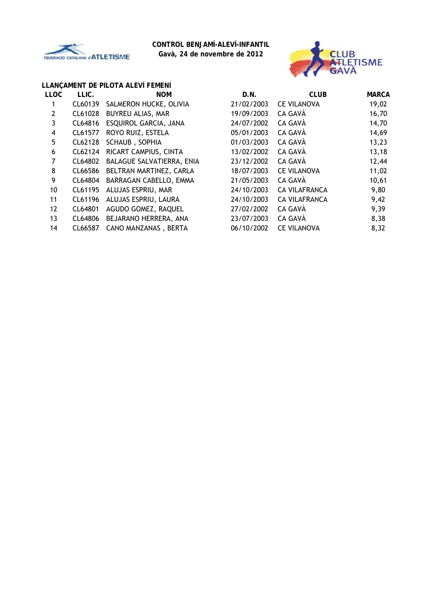

**Gavà, 24 de novembre de 2012**



## **LLANÇAMENT DE PILOTA ALEVÍ FEMENÍ**

| <b>LLOC</b> | LLIC.   | <b>NOM</b>                | D.N.       | <b>CLUB</b>          | <b>MARCA</b> |
|-------------|---------|---------------------------|------------|----------------------|--------------|
| 1           | CL60139 | SALMERON HUCKE, OLIVIA    | 21/02/2003 | <b>CE VILANOVA</b>   | 19,02        |
| 2           | CL61028 | BUYREU ALIAS, MAR         | 19/09/2003 | CA GAVÀ              | 16,70        |
| 3           | CL64816 | ESQUIROL GARCIA, JANA     | 24/07/2002 | CA GAVÀ              | 14,70        |
| 4           | CL61577 | ROYO RUIZ, ESTELA         | 05/01/2003 | CA GAVÀ              | 14,69        |
| 5           | CL62128 | SCHAUB, SOPHIA            | 01/03/2003 | CA GAVÀ              | 13,23        |
| 6           | CL62124 | RICART CAMPIUS, CINTA     | 13/02/2002 | CA GAVÀ              | 13,18        |
| 7           | CL64802 | BALAGUE SALVATIERRA, ENIA | 23/12/2002 | CA GAVÀ              | 12,44        |
| 8           | CL66586 | BELTRAN MARTINEZ, CARLA   | 18/07/2003 | <b>CE VILANOVA</b>   | 11,02        |
| 9           | CL64804 | BARRAGAN CABELLO, EMMA    | 21/05/2003 | CA GAVÀ              | 10,61        |
| 10          | CL61195 | ALUJAS ESPRIU, MAR        | 24/10/2003 | <b>CA VILAFRANCA</b> | 9,80         |
| 11          | CL61196 | ALUJAS ESPRIU, LAURA      | 24/10/2003 | <b>CA VILAFRANCA</b> | 9,42         |
| 12          | CL64801 | AGUDO GOMEZ, RAQUEL       | 27/02/2002 | CA GAVÀ              | 9,39         |
| 13          | CL64806 | BEJARANO HERRERA, ANA     | 23/07/2003 | CA GAVÀ              | 8,38         |
| 14          | CL66587 | CANO MANZANAS, BERTA      | 06/10/2002 | <b>CE VILANOVA</b>   | 8,32         |
|             |         |                           |            |                      |              |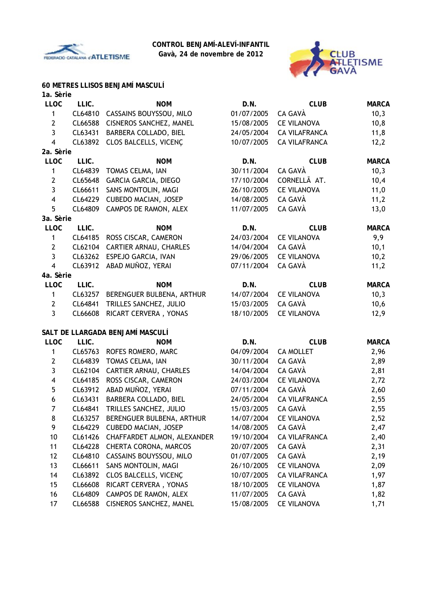

**Gavà, 24 de novembre de 2012**



# **60 METRES LLISOS BENJAMÍ MASCULÍ**

| 1a. Sèrie               |         |                                  |            |                      |              |
|-------------------------|---------|----------------------------------|------------|----------------------|--------------|
| <b>LLOC</b>             | LLIC.   | <b>NOM</b>                       | D.N.       | <b>CLUB</b>          | <b>MARCA</b> |
| 1                       | CL64810 | CASSAINS BOUYSSOU, MILO          | 01/07/2005 | CA GAVÀ              | 10,3         |
| $\mathbf{2}$            | CL66588 | CISNEROS SANCHEZ, MANEL          | 15/08/2005 | <b>CE VILANOVA</b>   | 10,8         |
| $\overline{3}$          | CL63431 | BARBERA COLLADO, BIEL            | 24/05/2004 | <b>CA VILAFRANCA</b> | 11,8         |
| $\overline{4}$          | CL63892 | CLOS BALCELLS, VICENÇ            | 10/07/2005 | <b>CA VILAFRANCA</b> | 12,2         |
| 2a. Sèrie               |         |                                  |            |                      |              |
| <b>LLOC</b>             | LLIC.   | <b>NOM</b>                       | D.N.       | <b>CLUB</b>          | <b>MARCA</b> |
| 1                       | CL64839 | TOMAS CELMA, IAN                 | 30/11/2004 | CA GAVÀ              | 10,3         |
| $\mathbf{2}$            | CL65648 | GARCIA GARCIA, DIEGO             | 17/10/2004 | CORNELLÃ AT.         | 10,4         |
| $\overline{3}$          | CL66611 | SANS MONTOLIN, MAGI              | 26/10/2005 | <b>CE VILANOVA</b>   | 11,0         |
| $\overline{4}$          | CL64229 | <b>CUBEDO MACIAN, JOSEP</b>      | 14/08/2005 | CA GAVÀ              | 11,2         |
| 5                       | CL64809 | CAMPOS DE RAMON, ALEX            | 11/07/2005 | CA GAVÀ              | 13,0         |
| 3a. Sèrie               |         |                                  |            |                      |              |
| <b>LLOC</b>             | LLIC.   | <b>NOM</b>                       | D.N.       | <b>CLUB</b>          | <b>MARCA</b> |
| 1                       | CL64185 | ROSS CISCAR, CAMERON             | 24/03/2004 | <b>CE VILANOVA</b>   | 9,9          |
| $\mathbf{2}$            | CL62104 | <b>CARTIER ARNAU, CHARLES</b>    | 14/04/2004 | CA GAVÀ              | 10,1         |
| 3                       | CL63262 | ESPEJO GARCIA, IVAN              | 29/06/2005 | <b>CE VILANOVA</b>   | 10,2         |
| $\overline{4}$          | CL63912 | ABAD MUÑOZ, YERAI                | 07/11/2004 | CA GAVÀ              | 11,2         |
| 4a. Sèrie               |         |                                  |            |                      |              |
| <b>LLOC</b>             | LLIC.   | <b>NOM</b>                       | D.N.       | <b>CLUB</b>          | <b>MARCA</b> |
| 1                       | CL63257 | BERENGUER BULBENA, ARTHUR        | 14/07/2004 | <b>CE VILANOVA</b>   | 10,3         |
| $\mathbf{2}$            | CL64841 | TRILLES SANCHEZ, JULIO           | 15/03/2005 | CA GAVÀ              | 10,6         |
| 3                       | CL66608 | RICART CERVERA, YONAS            | 18/10/2005 | <b>CE VILANOVA</b>   | 12,9         |
|                         |         | SALT DE LLARGADA BENJAMÍ MASCULÍ |            |                      |              |
| <b>LLOC</b>             | LLIC.   | <b>NOM</b>                       | D.N.       | <b>CLUB</b>          | <b>MARCA</b> |
| 1                       | CL65763 | ROFES ROMERO, MARC               | 04/09/2004 | <b>CA MOLLET</b>     | 2,96         |
| $\mathbf{2}$            | CL64839 | TOMAS CELMA, IAN                 | 30/11/2004 | CA GAVÀ              | 2,89         |
| 3                       |         | CL62104 CARTIER ARNAU, CHARLES   | 14/04/2004 | CA GAVÀ              | 2,81         |
| $\overline{\mathbf{4}}$ | CL64185 | ROSS CISCAR, CAMERON             | 24/03/2004 | <b>CE VILANOVA</b>   | 2,72         |
| 5                       | CL63912 | ABAD MUÑOZ, YERAI                | 07/11/2004 | CA GAVÀ              | 2,60         |
| 6                       | CL63431 | BARBERA COLLADO, BIEL            | 24/05/2004 | <b>CA VILAFRANCA</b> | 2,55         |
| $\overline{7}$          |         | CL64841 TRILLES SANCHEZ, JULIO   | 15/03/2005 | CA GAVÀ              | 2,55         |
| 8                       | CL63257 | BERENGUER BULBENA, ARTHUR        | 14/07/2004 | <b>CE VILANOVA</b>   | 2,52         |
| 9                       | CL64229 | <b>CUBEDO MACIAN, JOSEP</b>      | 14/08/2005 | CA GAVÀ              | 2,47         |
| 10                      | CL61426 | CHAFFARDET ALMON, ALEXANDER      | 19/10/2004 | <b>CA VILAFRANCA</b> | 2,40         |
| 11                      | CL64228 | <b>CHERTA CORONA, MARCOS</b>     | 20/07/2005 | CA GAVÀ              | 2,31         |
| 12                      | CL64810 | CASSAINS BOUYSSOU, MILO          | 01/07/2005 | CA GAVÀ              | 2,19         |
| 13                      | CL66611 | SANS MONTOLIN, MAGI              | 26/10/2005 | <b>CE VILANOVA</b>   | 2,09         |
| 14                      | CL63892 | CLOS BALCELLS, VICENÇ            | 10/07/2005 | <b>CA VILAFRANCA</b> | 1,97         |
| 15                      | CL66608 | RICART CERVERA, YONAS            | 18/10/2005 | <b>CE VILANOVA</b>   | 1,87         |
| 16                      | CL64809 | CAMPOS DE RAMON, ALEX            | 11/07/2005 | CA GAVÀ              | 1,82         |
| 17                      | CL66588 | CISNEROS SANCHEZ, MANEL          | 15/08/2005 | <b>CE VILANOVA</b>   | 1,71         |
|                         |         |                                  |            |                      |              |